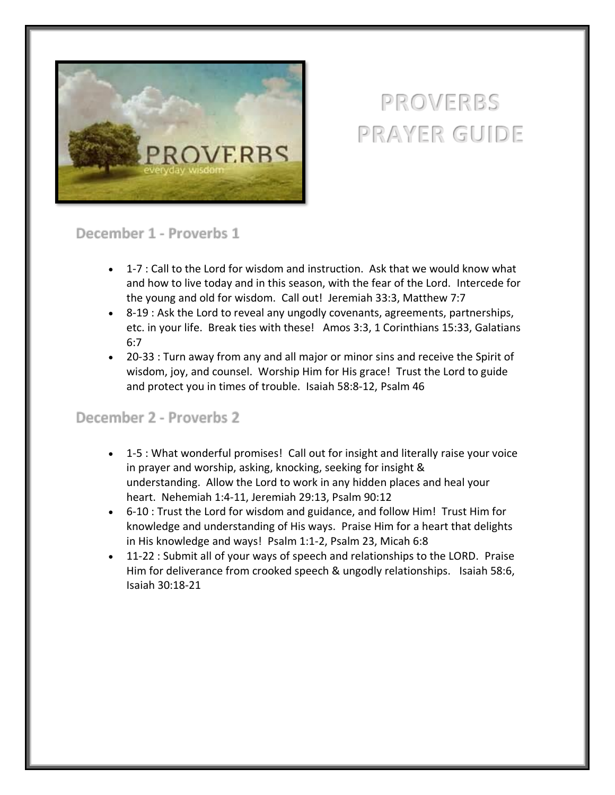

# **PROVERBS PRAYER GUIDE**

#### December 1 - Proverbs 1

- 1-7 : Call to the Lord for wisdom and instruction. Ask that we would know what and how to live today and in this season, with the fear of the Lord. Intercede for the young and old for wisdom. Call out! Jeremiah 33:3, Matthew 7:7
- 8-19 : Ask the Lord to reveal any ungodly covenants, agreements, partnerships, etc. in your life. Break ties with these! Amos 3:3, 1 Corinthians 15:33, Galatians 6:7
- 20-33 : Turn away from any and all major or minor sins and receive the Spirit of wisdom, joy, and counsel. Worship Him for His grace! Trust the Lord to guide and protect you in times of trouble. Isaiah 58:8-12, Psalm 46

# December 2 - Proverbs 2

- 1-5 : What wonderful promises! Call out for insight and literally raise your voice in prayer and worship, asking, knocking, seeking for insight & understanding. Allow the Lord to work in any hidden places and heal your heart. Nehemiah 1:4-11, Jeremiah 29:13, Psalm 90:12
- 6-10 : Trust the Lord for wisdom and guidance, and follow Him! Trust Him for knowledge and understanding of His ways. Praise Him for a heart that delights in His knowledge and ways! Psalm 1:1-2, Psalm 23, Micah 6:8
- 11-22 : Submit all of your ways of speech and relationships to the LORD. Praise Him for deliverance from crooked speech & ungodly relationships. Isaiah 58:6, Isaiah 30:18-21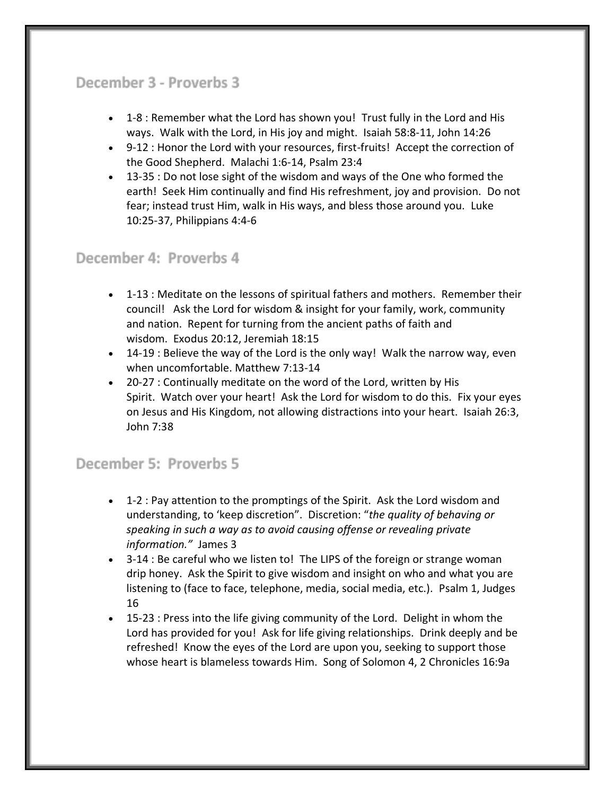# December 3 - Proverbs 3

- 1-8 : Remember what the Lord has shown you! Trust fully in the Lord and His ways. Walk with the Lord, in His joy and might. Isaiah 58:8-11, John 14:26
- 9-12 : Honor the Lord with your resources, first-fruits! Accept the correction of the Good Shepherd. Malachi 1:6-14, Psalm 23:4
- 13-35 : Do not lose sight of the wisdom and ways of the One who formed the earth! Seek Him continually and find His refreshment, joy and provision. Do not fear; instead trust Him, walk in His ways, and bless those around you. Luke 10:25-37, Philippians 4:4-6

# December 4: Proverbs 4

- 1-13 : Meditate on the lessons of spiritual fathers and mothers. Remember their council! Ask the Lord for wisdom & insight for your family, work, community and nation. Repent for turning from the ancient paths of faith and wisdom. Exodus 20:12, Jeremiah 18:15
- 14-19 : Believe the way of the Lord is the only way! Walk the narrow way, even when uncomfortable. Matthew 7:13-14
- 20-27 : Continually meditate on the word of the Lord, written by His Spirit. Watch over your heart! Ask the Lord for wisdom to do this. Fix your eyes on Jesus and His Kingdom, not allowing distractions into your heart. Isaiah 26:3, John 7:38

#### December 5: Proverbs 5

- 1-2 : Pay attention to the promptings of the Spirit. Ask the Lord wisdom and understanding, to 'keep discretion". Discretion: "*the quality of behaving or speaking in such a way as to avoid causing offense or revealing private information."* James 3
- 3-14 : Be careful who we listen to! The LIPS of the foreign or strange woman drip honey. Ask the Spirit to give wisdom and insight on who and what you are listening to (face to face, telephone, media, social media, etc.). Psalm 1, Judges 16
- 15-23 : Press into the life giving community of the Lord. Delight in whom the Lord has provided for you! Ask for life giving relationships. Drink deeply and be refreshed! Know the eyes of the Lord are upon you, seeking to support those whose heart is blameless towards Him. Song of Solomon 4, 2 Chronicles 16:9a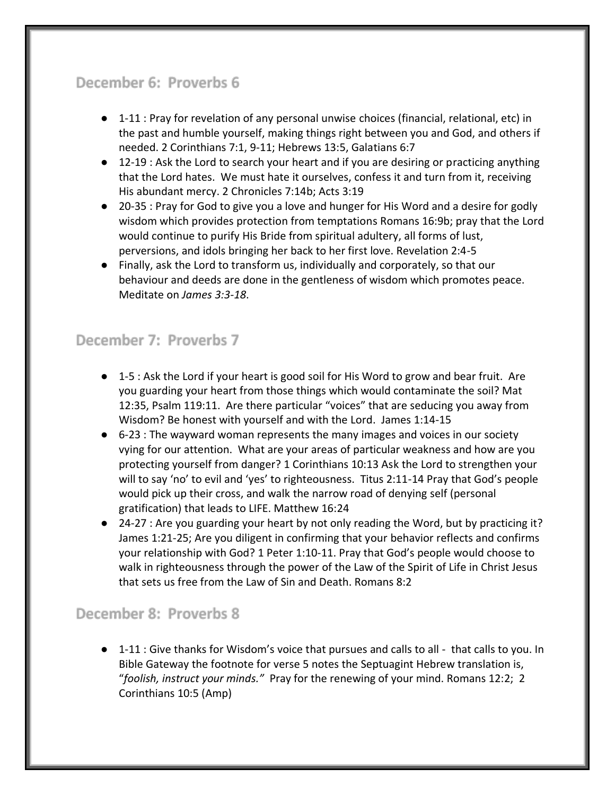# December 6: Proverbs 6

- 1-11 : Pray for revelation of any personal unwise choices (financial, relational, etc) in the past and humble yourself, making things right between you and God, and others if needed. 2 Corinthians 7:1, 9-11; Hebrews 13:5, Galatians 6:7
- 12-19 : Ask the Lord to search your heart and if you are desiring or practicing anything that the Lord hates. We must hate it ourselves, confess it and turn from it, receiving His abundant mercy. 2 Chronicles 7:14b; Acts 3:19
- 20-35 : Pray for God to give you a love and hunger for His Word and a desire for godly wisdom which provides protection from temptations Romans 16:9b; pray that the Lord would continue to purify His Bride from spiritual adultery, all forms of lust, perversions, and idols bringing her back to her first love. Revelation 2:4-5
- Finally, ask the Lord to transform us, individually and corporately, so that our behaviour and deeds are done in the gentleness of wisdom which promotes peace. Meditate on *James 3:3-18*.

### December 7: Proverbs 7

- 1-5 : Ask the Lord if your heart is good soil for His Word to grow and bear fruit. Are you guarding your heart from those things which would contaminate the soil? Mat 12:35, Psalm 119:11. Are there particular "voices" that are seducing you away from Wisdom? Be honest with yourself and with the Lord. James 1:14-15
- 6-23 : The wayward woman represents the many images and voices in our society vying for our attention. What are your areas of particular weakness and how are you protecting yourself from danger? 1 Corinthians 10:13 Ask the Lord to strengthen your will to say 'no' to evil and 'yes' to righteousness. Titus 2:11-14 Pray that God's people would pick up their cross, and walk the narrow road of denying self (personal gratification) that leads to LIFE. Matthew 16:24
- 24-27 : Are you guarding your heart by not only reading the Word, but by practicing it? James 1:21-25; Are you diligent in confirming that your behavior reflects and confirms your relationship with God? 1 Peter 1:10-11. Pray that God's people would choose to walk in righteousness through the power of the Law of the Spirit of Life in Christ Jesus that sets us free from the Law of Sin and Death. Romans 8:2

#### December 8: Proverbs 8

● 1-11 : Give thanks for Wisdom's voice that pursues and calls to all - that calls to you. In Bible Gateway the footnote for verse 5 notes the Septuagint Hebrew translation is, "*foolish, instruct your minds."* Pray for the renewing of your mind. Romans 12:2; 2 Corinthians 10:5 (Amp)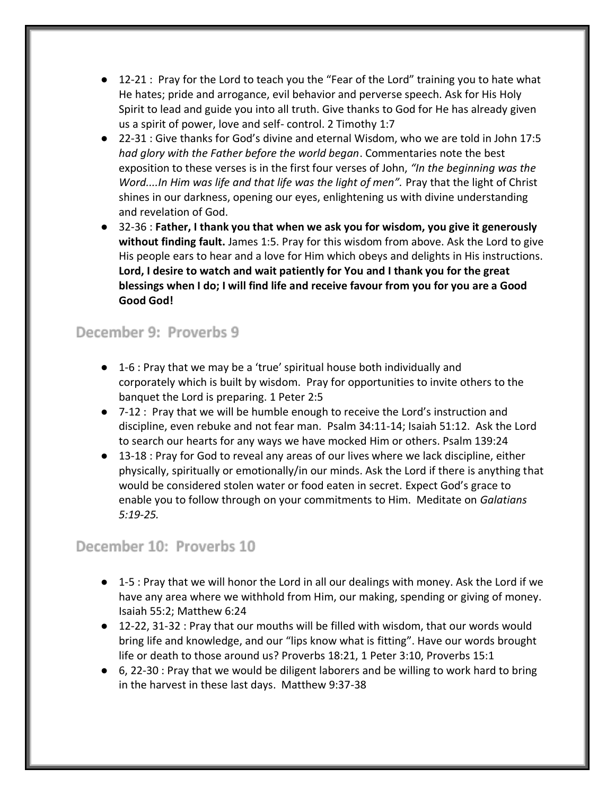- 12-21 : Pray for the Lord to teach you the "Fear of the Lord" training you to hate what He hates; pride and arrogance, evil behavior and perverse speech. Ask for His Holy Spirit to lead and guide you into all truth. Give thanks to God for He has already given us a spirit of power, love and self- control. 2 Timothy 1:7
- 22-31 : Give thanks for God's divine and eternal Wisdom, who we are told in John 17:5 *had glory with the Father before the world began*. Commentaries note the best exposition to these verses is in the first four verses of John, *"In the beginning was the Word....In Him was life and that life was the light of men".* Pray that the light of Christ shines in our darkness, opening our eyes, enlightening us with divine understanding and revelation of God.
- 32-36 : **Father, I thank you that when we ask you for wisdom, you give it generously without finding fault.** James 1:5. Pray for this wisdom from above. Ask the Lord to give His people ears to hear and a love for Him which obeys and delights in His instructions. **Lord, I desire to watch and wait patiently for You and I thank you for the great blessings when I do; I will find life and receive favour from you for you are a Good Good God!**

#### December 9: Proverbs 9

- 1-6 : Pray that we may be a 'true' spiritual house both individually and corporately which is built by wisdom. Pray for opportunities to invite others to the banquet the Lord is preparing. 1 Peter 2:5
- 7-12 : Pray that we will be humble enough to receive the Lord's instruction and discipline, even rebuke and not fear man. Psalm 34:11-14; Isaiah 51:12. Ask the Lord to search our hearts for any ways we have mocked Him or others. Psalm 139:24
- 13-18 : Pray for God to reveal any areas of our lives where we lack discipline, either physically, spiritually or emotionally/in our minds. Ask the Lord if there is anything that would be considered stolen water or food eaten in secret. Expect God's grace to enable you to follow through on your commitments to Him. Meditate on *Galatians 5:19-25.*

#### December 10: Proverbs 10

- 1-5 : Pray that we will honor the Lord in all our dealings with money. Ask the Lord if we have any area where we withhold from Him, our making, spending or giving of money. Isaiah 55:2; Matthew 6:24
- 12-22, 31-32 : Pray that our mouths will be filled with wisdom, that our words would bring life and knowledge, and our "lips know what is fitting". Have our words brought life or death to those around us? Proverbs 18:21, 1 Peter 3:10, Proverbs 15:1
- 6, 22-30 : Pray that we would be diligent laborers and be willing to work hard to bring in the harvest in these last days. Matthew 9:37-38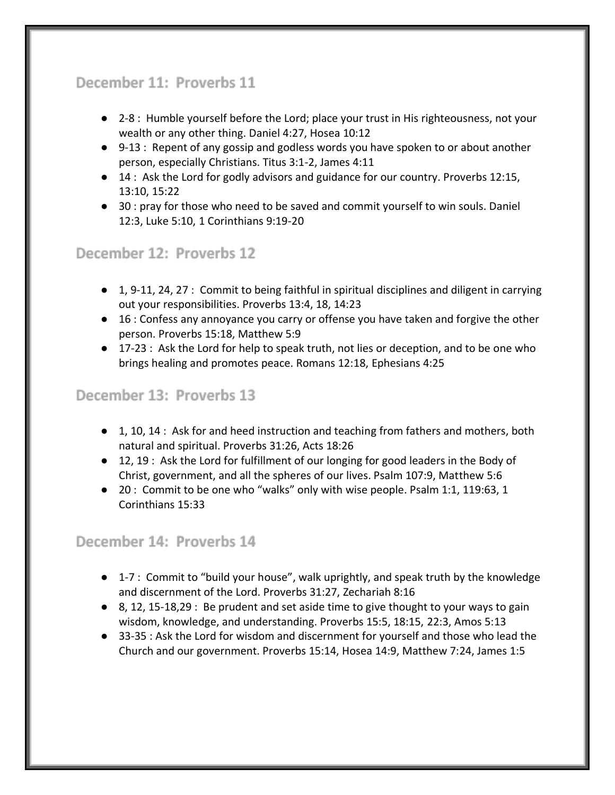# December 11: Proverbs 11

- 2-8 : Humble yourself before the Lord; place your trust in His righteousness, not your wealth or any other thing. Daniel 4:27, Hosea 10:12
- 9-13 : Repent of any gossip and godless words you have spoken to or about another person, especially Christians. Titus 3:1-2, James 4:11
- 14 : Ask the Lord for godly advisors and guidance for our country. Proverbs 12:15, 13:10, 15:22
- 30 : pray for those who need to be saved and commit yourself to win souls. Daniel 12:3, Luke 5:10, 1 Corinthians 9:19-20

# December 12: Proverbs 12

- 1, 9-11, 24, 27 : Commit to being faithful in spiritual disciplines and diligent in carrying out your responsibilities. Proverbs 13:4, 18, 14:23
- 16 : Confess any annoyance you carry or offense you have taken and forgive the other person. Proverbs 15:18, Matthew 5:9
- 17-23 : Ask the Lord for help to speak truth, not lies or deception, and to be one who brings healing and promotes peace. Romans 12:18, Ephesians 4:25

#### December 13: Proverbs 13

- 1, 10, 14 : Ask for and heed instruction and teaching from fathers and mothers, both natural and spiritual. Proverbs 31:26, Acts 18:26
- 12, 19 : Ask the Lord for fulfillment of our longing for good leaders in the Body of Christ, government, and all the spheres of our lives. Psalm 107:9, Matthew 5:6
- 20 : Commit to be one who "walks" only with wise people. Psalm 1:1, 119:63, 1 Corinthians 15:33

#### December 14: Proverbs 14

- 1-7 : Commit to "build your house", walk uprightly, and speak truth by the knowledge and discernment of the Lord. Proverbs 31:27, Zechariah 8:16
- $\bullet$  8, 12, 15-18,29 : Be prudent and set aside time to give thought to your ways to gain wisdom, knowledge, and understanding. Proverbs 15:5, 18:15, 22:3, Amos 5:13
- 33-35 : Ask the Lord for wisdom and discernment for yourself and those who lead the Church and our government. Proverbs 15:14, Hosea 14:9, Matthew 7:24, James 1:5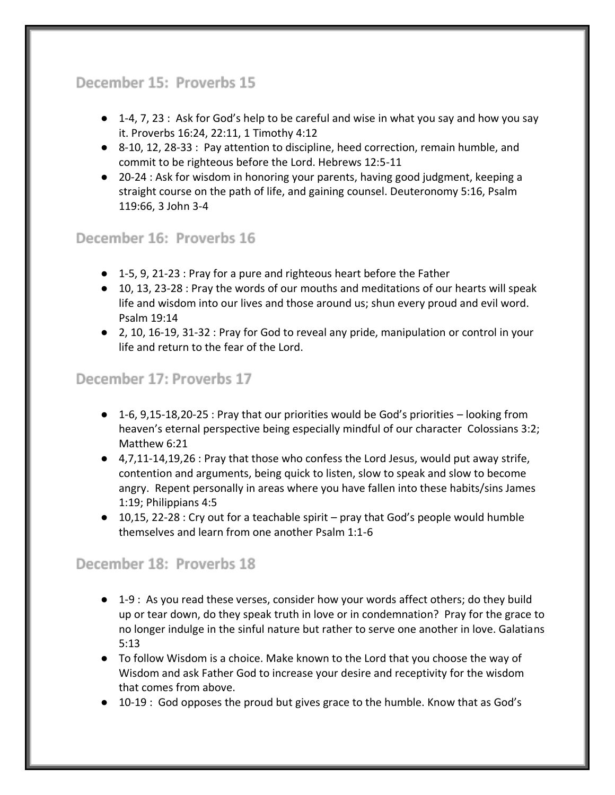# December 15: Proverbs 15

- 1-4, 7, 23 : Ask for God's help to be careful and wise in what you say and how you say it. Proverbs 16:24, 22:11, 1 Timothy 4:12
- 8-10, 12, 28-33 : Pay attention to discipline, heed correction, remain humble, and commit to be righteous before the Lord. Hebrews 12:5-11
- 20-24 : Ask for wisdom in honoring your parents, having good judgment, keeping a straight course on the path of life, and gaining counsel. Deuteronomy 5:16, Psalm 119:66, 3 John 3-4

#### December 16: Proverbs 16

- 1-5, 9, 21-23 : Pray for a pure and righteous heart before the Father
- 10, 13, 23-28 : Pray the words of our mouths and meditations of our hearts will speak life and wisdom into our lives and those around us; shun every proud and evil word. Psalm 19:14
- 2, 10, 16-19, 31-32 : Pray for God to reveal any pride, manipulation or control in your life and return to the fear of the Lord.

#### December 17: Proverbs 17

- 1-6, 9,15-18,20-25 : Pray that our priorities would be God's priorities looking from heaven's eternal perspective being especially mindful of our character Colossians 3:2; Matthew 6:21
- 4,7,11-14,19,26 : Pray that those who confess the Lord Jesus, would put away strife, contention and arguments, being quick to listen, slow to speak and slow to become angry. Repent personally in areas where you have fallen into these habits/sins James 1:19; Philippians 4:5
- 10,15, 22-28 : Cry out for a teachable spirit pray that God's people would humble themselves and learn from one another Psalm 1:1-6

#### December 18: Proverbs 18

- 1-9 : As you read these verses, consider how your words affect others; do they build up or tear down, do they speak truth in love or in condemnation? Pray for the grace to no longer indulge in the sinful nature but rather to serve one another in love. Galatians 5:13
- To follow Wisdom is a choice. Make known to the Lord that you choose the way of Wisdom and ask Father God to increase your desire and receptivity for the wisdom that comes from above.
- $\bullet$  10-19 : God opposes the proud but gives grace to the humble. Know that as God's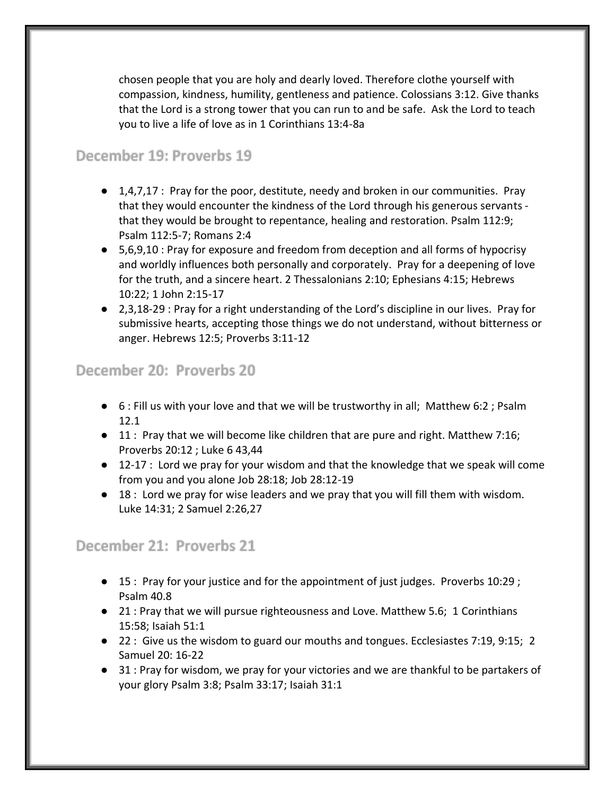chosen people that you are holy and dearly loved. Therefore clothe yourself with compassion, kindness, humility, gentleness and patience. Colossians 3:12. Give thanks that the Lord is a strong tower that you can run to and be safe. Ask the Lord to teach you to live a life of love as in 1 Corinthians 13:4-8a

#### December 19: Proverbs 19

- $\bullet$  1,4,7,17 : Pray for the poor, destitute, needy and broken in our communities. Pray that they would encounter the kindness of the Lord through his generous servants that they would be brought to repentance, healing and restoration. Psalm 112:9; Psalm 112:5-7; Romans 2:4
- 5,6,9,10 : Pray for exposure and freedom from deception and all forms of hypocrisy and worldly influences both personally and corporately. Pray for a deepening of love for the truth, and a sincere heart. 2 Thessalonians 2:10; Ephesians 4:15; Hebrews 10:22; 1 John 2:15-17
- 2,3,18-29 : Pray for a right understanding of the Lord's discipline in our lives. Pray for submissive hearts, accepting those things we do not understand, without bitterness or anger. Hebrews 12:5; Proverbs 3:11-12

#### December 20: Proverbs 20

- 6 : Fill us with your love and that we will be trustworthy in all; Matthew 6:2 ; Psalm 12.1
- 11 : Pray that we will become like children that are pure and right. Matthew 7:16; Proverbs 20:12 ; Luke 6 43,44
- 12-17 : Lord we pray for your wisdom and that the knowledge that we speak will come from you and you alone Job 28:18; Job 28:12-19
- 18 : Lord we pray for wise leaders and we pray that you will fill them with wisdom. Luke 14:31; 2 Samuel 2:26,27

#### December 21: Proverbs 21

- 15 : Pray for your justice and for the appointment of just judges. Proverbs 10:29 ; Psalm 40.8
- 21 : Pray that we will pursue righteousness and Love. Matthew 5.6; 1 Corinthians 15:58; Isaiah 51:1
- 22 : Give us the wisdom to guard our mouths and tongues. Ecclesiastes 7:19, 9:15; 2 Samuel 20: 16-22
- 31 : Pray for wisdom, we pray for your victories and we are thankful to be partakers of your glory Psalm 3:8; Psalm 33:17; Isaiah 31:1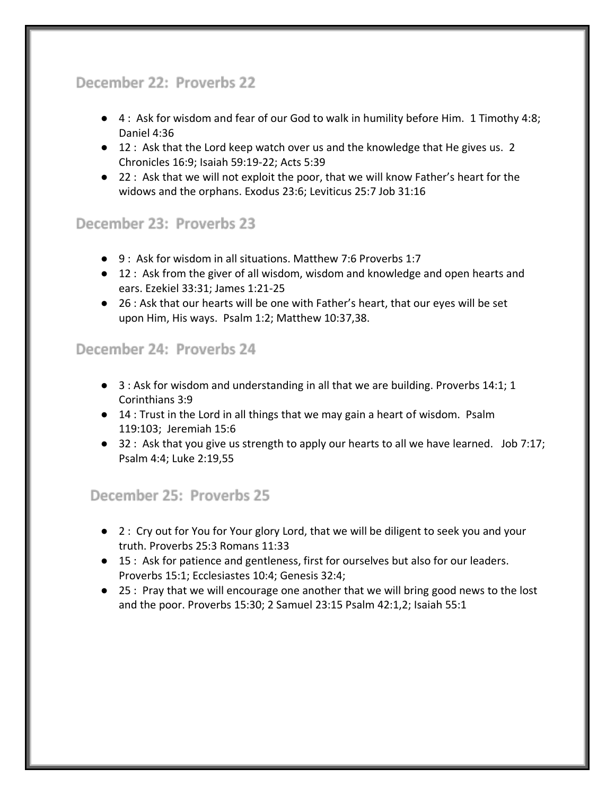# December 22: Proverbs 22

- 4: Ask for wisdom and fear of our God to walk in humility before Him. 1 Timothy 4:8; Daniel 4:36
- 12 : Ask that the Lord keep watch over us and the knowledge that He gives us. 2 Chronicles 16:9; Isaiah 59:19-22; Acts 5:39
- 22 : Ask that we will not exploit the poor, that we will know Father's heart for the widows and the orphans. Exodus 23:6; Leviticus 25:7 Job 31:16

# December 23: Proverbs 23

- 9 : Ask for wisdom in all situations. Matthew 7:6 Proverbs 1:7
- 12 : Ask from the giver of all wisdom, wisdom and knowledge and open hearts and ears. Ezekiel 33:31; James 1:21-25
- 26 : Ask that our hearts will be one with Father's heart, that our eyes will be set upon Him, His ways. Psalm 1:2; Matthew 10:37,38.

#### December 24: Proverbs 24

- 3 : Ask for wisdom and understanding in all that we are building. Proverbs 14:1; 1 Corinthians 3:9
- 14 : Trust in the Lord in all things that we may gain a heart of wisdom. Psalm 119:103; Jeremiah 15:6
- 32 : Ask that you give us strength to apply our hearts to all we have learned. Job 7:17; Psalm 4:4; Luke 2:19,55

#### December 25: Proverbs 25

- 2 : Cry out for You for Your glory Lord, that we will be diligent to seek you and your truth. Proverbs 25:3 Romans 11:33
- 15 : Ask for patience and gentleness, first for ourselves but also for our leaders. Proverbs 15:1; Ecclesiastes 10:4; Genesis 32:4;
- 25 : Pray that we will encourage one another that we will bring good news to the lost and the poor. Proverbs 15:30; 2 Samuel 23:15 Psalm 42:1,2; Isaiah 55:1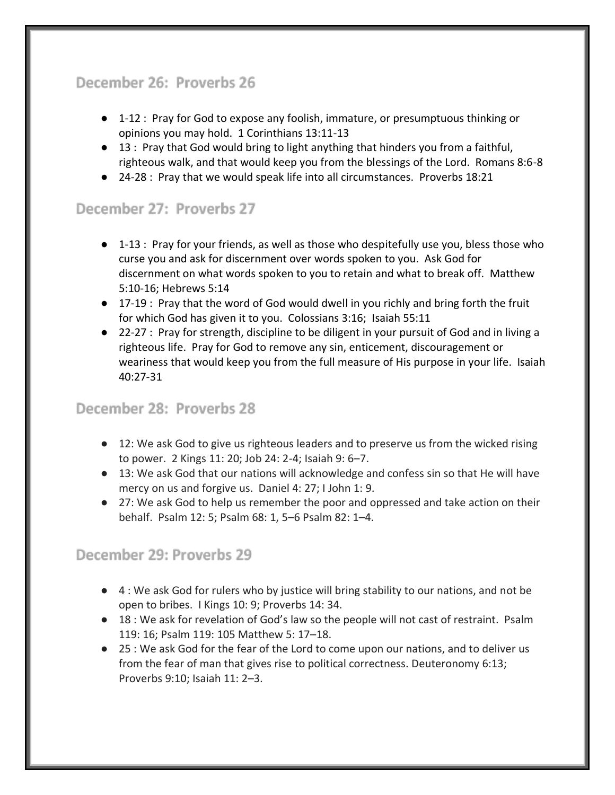# December 26: Proverbs 26

- 1-12 : Pray for God to expose any foolish, immature, or presumptuous thinking or opinions you may hold. 1 Corinthians 13:11-13
- 13 : Pray that God would bring to light anything that hinders you from a faithful, righteous walk, and that would keep you from the blessings of the Lord. Romans 8:6-8
- 24-28 : Pray that we would speak life into all circumstances. Proverbs 18:21

# December 27: Proverbs 27

- 1-13 : Pray for your friends, as well as those who despitefully use you, bless those who curse you and ask for discernment over words spoken to you. Ask God for discernment on what words spoken to you to retain and what to break off. Matthew 5:10-16; Hebrews 5:14
- 17-19 : Pray that the word of God would dwell in you richly and bring forth the fruit for which God has given it to you. Colossians 3:16; Isaiah 55:11
- 22-27 : Pray for strength, discipline to be diligent in your pursuit of God and in living a righteous life. Pray for God to remove any sin, enticement, discouragement or weariness that would keep you from the full measure of His purpose in your life. Isaiah 40:27-31

#### December 28: Proverbs 28

- 12: We ask God to give us righteous leaders and to preserve us from the wicked rising to power. 2 Kings 11: 20; Job 24: 2-4; Isaiah 9: 6–7.
- 13: We ask God that our nations will acknowledge and confess sin so that He will have mercy on us and forgive us. Daniel 4: 27; I John 1: 9.
- 27: We ask God to help us remember the poor and oppressed and take action on their behalf. Psalm 12: 5; Psalm 68: 1, 5–6 Psalm 82: 1–4.

#### December 29: Proverbs 29

- 4 : We ask God for rulers who by justice will bring stability to our nations, and not be open to bribes. I Kings 10: 9; Proverbs 14: 34.
- 18 : We ask for revelation of God's law so the people will not cast of restraint. Psalm 119: 16; Psalm 119: 105 Matthew 5: 17–18.
- 25 : We ask God for the fear of the Lord to come upon our nations, and to deliver us from the fear of man that gives rise to political correctness. Deuteronomy 6:13; Proverbs 9:10; Isaiah 11: 2–3.